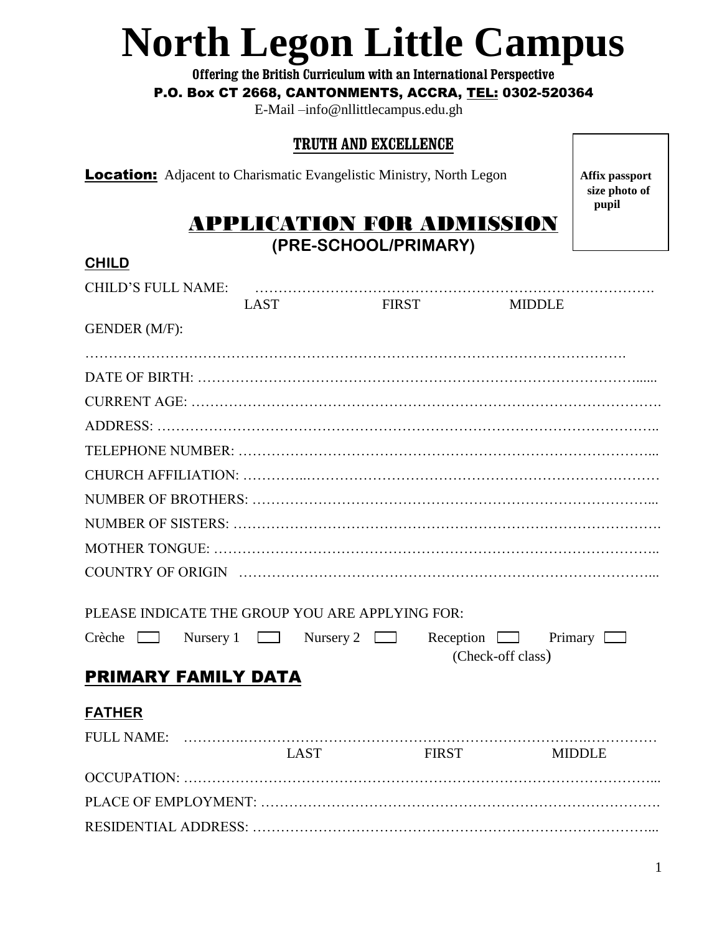# **North Legon Little Campus**

**Offering the British Curriculum with an International Perspective**

#### P.O. Box CT 2668, CANTONMENTS, ACCRA, TEL: 0302-520364

E-Mail –info@nllittlecampus.edu.gh

#### **TRUTH AND EXCELLENCE**

**Location:** Adjacent to Charismatic Evangelistic Ministry, North Legon **Affix passport** 

 **size photo of pupil**

# APPLICATION FOR ADMISSION

**(PRE-SCHOOL/PRIMARY)**

| <b>CHILD</b>                                    |             |             |              |                                 |  |
|-------------------------------------------------|-------------|-------------|--------------|---------------------------------|--|
| <b>CHILD'S FULL NAME:</b>                       |             |             |              |                                 |  |
|                                                 | <b>LAST</b> |             | <b>FIRST</b> | <b>MIDDLE</b>                   |  |
| GENDER (M/F):                                   |             |             |              |                                 |  |
|                                                 |             |             |              |                                 |  |
|                                                 |             |             |              |                                 |  |
|                                                 |             |             |              |                                 |  |
|                                                 |             |             |              |                                 |  |
|                                                 |             |             |              |                                 |  |
|                                                 |             |             |              |                                 |  |
|                                                 |             |             |              |                                 |  |
|                                                 |             |             |              |                                 |  |
|                                                 |             |             |              |                                 |  |
|                                                 |             |             |              |                                 |  |
|                                                 |             |             |              |                                 |  |
| PLEASE INDICATE THE GROUP YOU ARE APPLYING FOR: |             |             |              |                                 |  |
| Crèche $\Box$ Nursery 1 $\Box$ Nursery 2 $\Box$ |             |             |              | Reception $\Box$ Primary $\Box$ |  |
|                                                 |             |             |              | (Check-off class)               |  |
| PRIMARY FAMILY DATA                             |             |             |              |                                 |  |
| <b>FATHER</b>                                   |             |             |              |                                 |  |
|                                                 |             |             |              |                                 |  |
|                                                 |             | <b>LAST</b> | <b>FIRST</b> | <b>MIDDLE</b>                   |  |
|                                                 |             |             |              |                                 |  |
|                                                 |             |             |              |                                 |  |
|                                                 |             |             |              |                                 |  |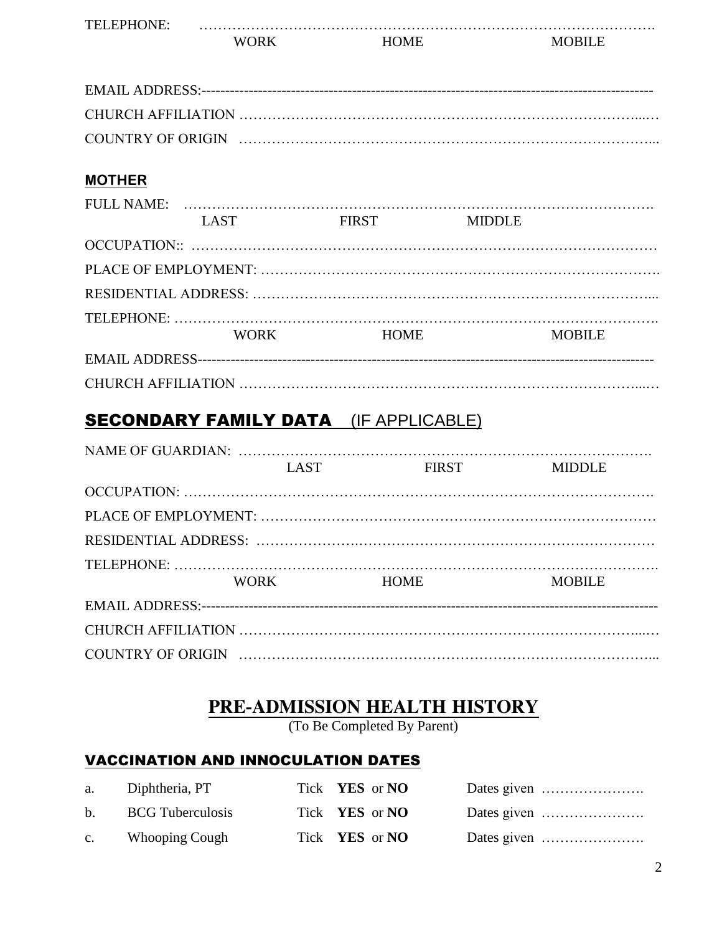| TEI<br>. |  |  |
|----------|--|--|
|          |  |  |

#### **MOTHER**

|  | <b>LAST</b> | <b>FIRST</b> | <b>MIDDLE</b> |               |
|--|-------------|--------------|---------------|---------------|
|  |             |              |               |               |
|  |             |              |               |               |
|  |             |              |               |               |
|  |             |              |               |               |
|  | <b>WORK</b> | <b>HOME</b>  |               | <b>MOBILE</b> |
|  |             |              |               |               |
|  |             |              |               |               |

### SECONDARY FAMILY DATA (IF APPLICABLE)

|  | LAST        | <b>FIRST</b> | <b>MIDDLE</b> |  |  |
|--|-------------|--------------|---------------|--|--|
|  |             |              |               |  |  |
|  |             |              |               |  |  |
|  |             |              |               |  |  |
|  |             |              |               |  |  |
|  | <b>WORK</b> | <b>HOME</b>  | <b>MOBILE</b> |  |  |
|  |             |              |               |  |  |
|  |             |              |               |  |  |
|  |             |              |               |  |  |

## **PRE-ADMISSION HEALTH HISTORY**

(To Be Completed By Parent)

#### VACCINATION AND INNOCULATION DATES

| a. Diphtheria, PT   | Tick <b>YES</b> or <b>NO</b> |  |
|---------------------|------------------------------|--|
| b. BCG Tuberculosis | Tick <b>YES</b> or <b>NO</b> |  |
| c. Whooping Cough   | Tick <b>YES</b> or <b>NO</b> |  |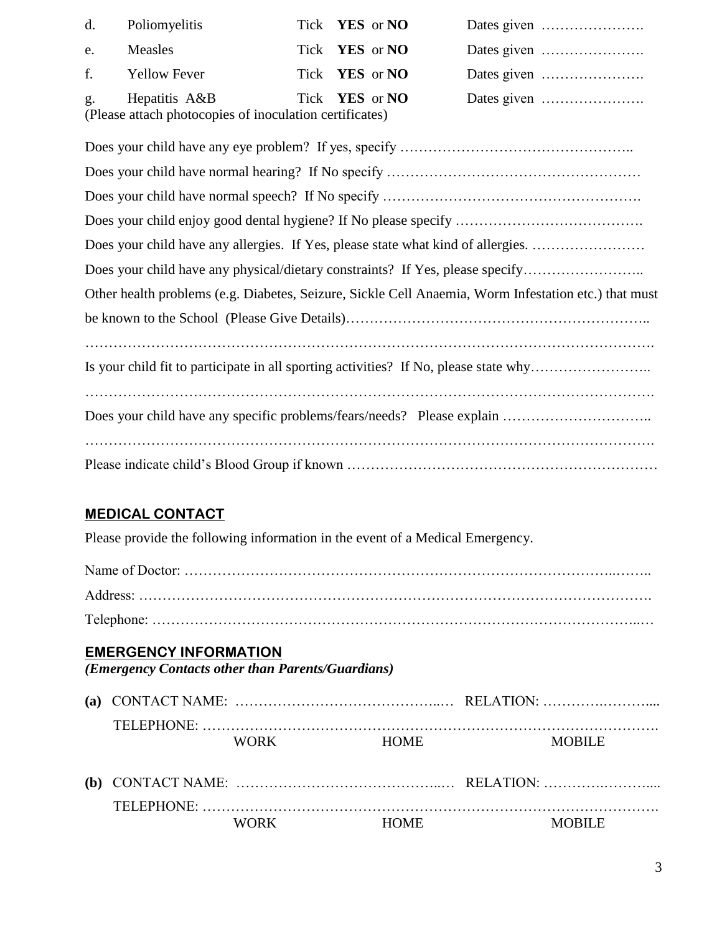| d. Poliomyelitis                                                            | Tick <b>YES</b> or <b>NO</b> |  |
|-----------------------------------------------------------------------------|------------------------------|--|
| e. Measles                                                                  | Tick <b>YES</b> or <b>NO</b> |  |
| f. Yellow Fever                                                             | Tick <b>YES</b> or <b>NO</b> |  |
| g. Hepatitis A&B<br>(Please attach photocopies of inoculation certificates) | Tick <b>YES</b> or <b>NO</b> |  |

| Does your child have any allergies. If Yes, please state what kind of allergies.                     |
|------------------------------------------------------------------------------------------------------|
| Does your child have any physical/dietary constraints? If Yes, please specify                        |
| Other health problems (e.g. Diabetes, Seizure, Sickle Cell Anaemia, Worm Infestation etc.) that must |
|                                                                                                      |
| Is your child fit to participate in all sporting activities? If No, please state why                 |
|                                                                                                      |
|                                                                                                      |

#### **MEDICAL CONTACT**

Please provide the following information in the event of a Medical Emergency.

#### **EMERGENCY INFORMATION**

*(Emergency Contacts other than Parents/Guardians)*

|  | WORK. | <b>HOME</b> | MORILE. |
|--|-------|-------------|---------|

| <b>TELEPHONE</b> |             |        |
|------------------|-------------|--------|
| WORK             | <b>HOME</b> | MORILE |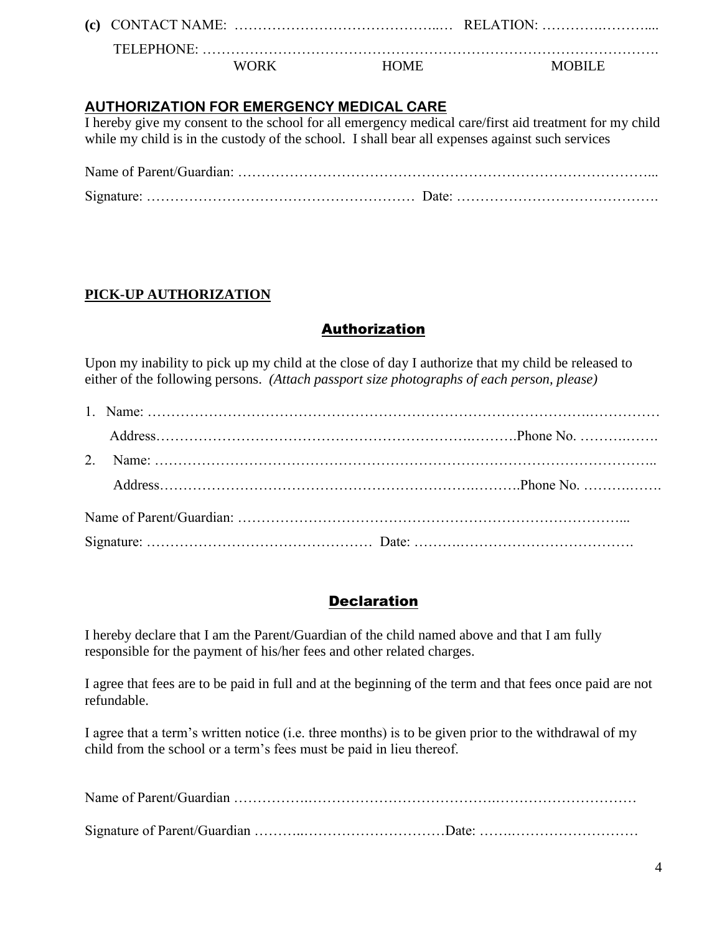**(c)** CONTACT NAME: ……………………………………..… RELATION: ………….………....

 TELEPHONE: ……………………………………………………………………………………. WORK HOME MOBILE

**AUTHORIZATION FOR EMERGENCY MEDICAL CARE**

I hereby give my consent to the school for all emergency medical care/first aid treatment for my child while my child is in the custody of the school. I shall bear all expenses against such services

Name of Parent/Guardian: ……………………………………………………………………………... Signature: ………………………………………………… Date: …………………………………….

#### **PICK-UP AUTHORIZATION**

#### **Authorization**

Upon my inability to pick up my child at the close of day I authorize that my child be released to either of the following persons. *(Attach passport size photographs of each person, please)*

#### **Declaration**

I hereby declare that I am the Parent/Guardian of the child named above and that I am fully responsible for the payment of his/her fees and other related charges.

I agree that fees are to be paid in full and at the beginning of the term and that fees once paid are not refundable.

I agree that a term's written notice (i.e. three months) is to be given prior to the withdrawal of my child from the school or a term's fees must be paid in lieu thereof.